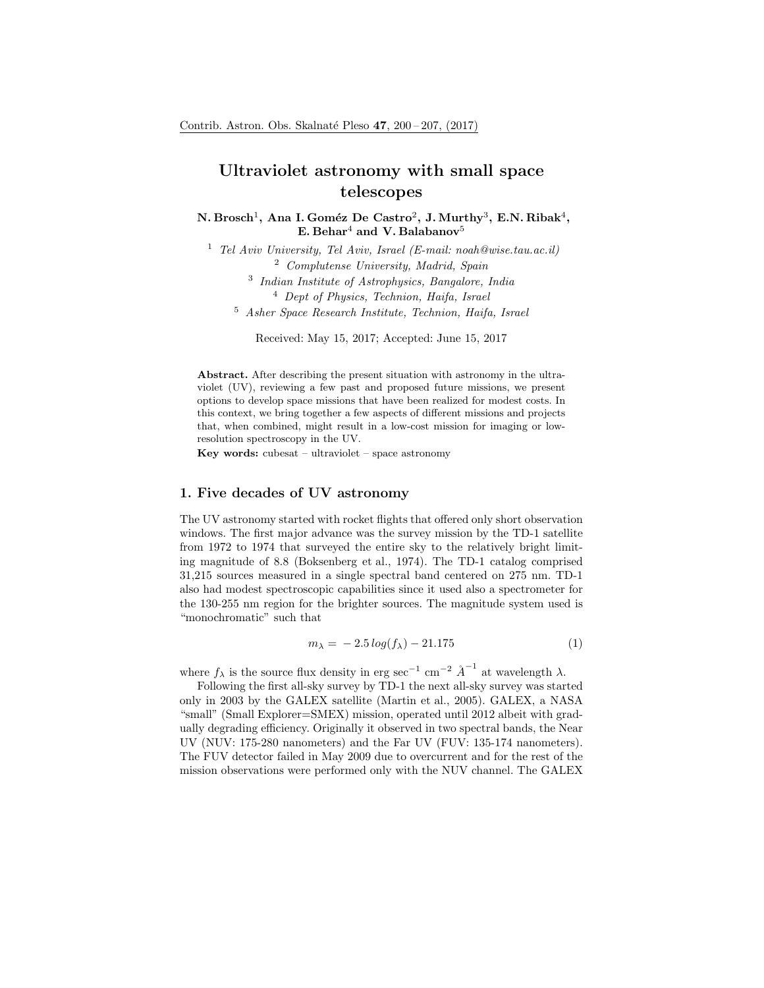# Ultraviolet astronomy with small space telescopes

N. Brosch $^1$ , Ana I. Goméz De Castro $^2$ , J. Murthy $^3$ , E.N. Ribak $^4,$ E. Behar<sup>4</sup> and V. Balabanov<sup>5</sup>

<sup>1</sup> Tel Aviv University, Tel Aviv, Israel (E-mail: noah@wise.tau.ac.il) <sup>2</sup> Complutense University, Madrid, Spain

3 Indian Institute of Astrophysics, Bangalore, India

<sup>4</sup> Dept of Physics, Technion, Haifa, Israel

<sup>5</sup> Asher Space Research Institute, Technion, Haifa, Israel

Received: May 15, 2017; Accepted: June 15, 2017

Abstract. After describing the present situation with astronomy in the ultraviolet (UV), reviewing a few past and proposed future missions, we present options to develop space missions that have been realized for modest costs. In this context, we bring together a few aspects of different missions and projects that, when combined, might result in a low-cost mission for imaging or lowresolution spectroscopy in the UV.

Key words: cubesat – ultraviolet – space astronomy

# 1. Five decades of UV astronomy

The UV astronomy started with rocket flights that offered only short observation windows. The first major advance was the survey mission by the TD-1 satellite from 1972 to 1974 that surveyed the entire sky to the relatively bright limiting magnitude of 8.8 (Boksenberg et al., 1974). The TD-1 catalog comprised 31,215 sources measured in a single spectral band centered on 275 nm. TD-1 also had modest spectroscopic capabilities since it used also a spectrometer for the 130-255 nm region for the brighter sources. The magnitude system used is "monochromatic" such that

$$
m_{\lambda} = -2.5 \log(f_{\lambda}) - 21.175
$$
 (1)

where  $f_{\lambda}$  is the source flux density in erg sec<sup>-1</sup> cm<sup>-2</sup>  $\overset{\circ}{A}^{-1}$  at wavelength  $\lambda$ .

Following the first all-sky survey by TD-1 the next all-sky survey was started only in 2003 by the GALEX satellite (Martin et al., 2005). GALEX, a NASA "small" (Small Explorer=SMEX) mission, operated until 2012 albeit with gradually degrading efficiency. Originally it observed in two spectral bands, the Near UV (NUV: 175-280 nanometers) and the Far UV (FUV: 135-174 nanometers). The FUV detector failed in May 2009 due to overcurrent and for the rest of the mission observations were performed only with the NUV channel. The GALEX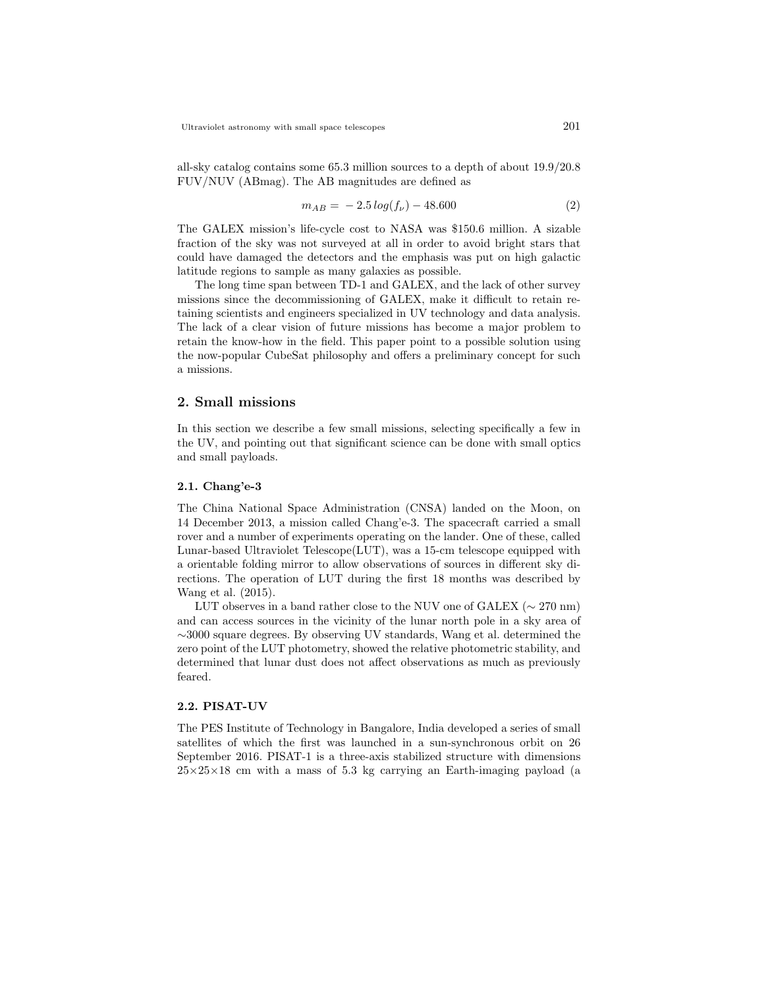all-sky catalog contains some 65.3 million sources to a depth of about 19.9/20.8 FUV/NUV (ABmag). The AB magnitudes are defined as

$$
m_{AB} = -2.5 \log(f_{\nu}) - 48.600 \tag{2}
$$

The GALEX mission's life-cycle cost to NASA was \$150.6 million. A sizable fraction of the sky was not surveyed at all in order to avoid bright stars that could have damaged the detectors and the emphasis was put on high galactic latitude regions to sample as many galaxies as possible.

The long time span between TD-1 and GALEX, and the lack of other survey missions since the decommissioning of GALEX, make it difficult to retain retaining scientists and engineers specialized in UV technology and data analysis. The lack of a clear vision of future missions has become a major problem to retain the know-how in the field. This paper point to a possible solution using the now-popular CubeSat philosophy and offers a preliminary concept for such a missions.

## 2. Small missions

In this section we describe a few small missions, selecting specifically a few in the UV, and pointing out that significant science can be done with small optics and small payloads.

#### 2.1. Chang'e-3

The China National Space Administration (CNSA) landed on the Moon, on 14 December 2013, a mission called Chang'e-3. The spacecraft carried a small rover and a number of experiments operating on the lander. One of these, called Lunar-based Ultraviolet Telescope(LUT), was a 15-cm telescope equipped with a orientable folding mirror to allow observations of sources in different sky directions. The operation of LUT during the first 18 months was described by Wang et al. (2015).

LUT observes in a band rather close to the NUV one of GALEX ( $\sim$  270 nm) and can access sources in the vicinity of the lunar north pole in a sky area of ∼3000 square degrees. By observing UV standards, Wang et al. determined the zero point of the LUT photometry, showed the relative photometric stability, and determined that lunar dust does not affect observations as much as previously feared.

## 2.2. PISAT-UV

The PES Institute of Technology in Bangalore, India developed a series of small satellites of which the first was launched in a sun-synchronous orbit on 26 September 2016. PISAT-1 is a three-axis stabilized structure with dimensions  $25\times25\times18$  cm with a mass of 5.3 kg carrying an Earth-imaging payload (a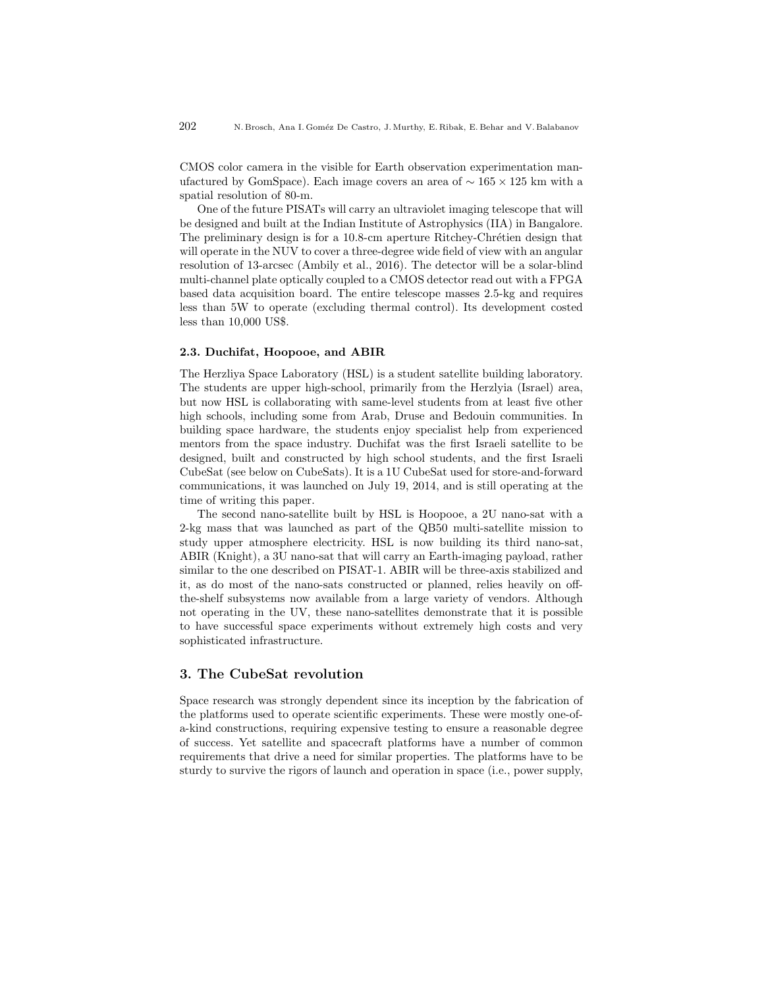CMOS color camera in the visible for Earth observation experimentation manufactured by GomSpace). Each image covers an area of  $\sim 165 \times 125$  km with a spatial resolution of 80-m.

One of the future PISATs will carry an ultraviolet imaging telescope that will be designed and built at the Indian Institute of Astrophysics (IIA) in Bangalore. The preliminary design is for a 10.8-cm aperture Ritchey-Chrétien design that will operate in the NUV to cover a three-degree wide field of view with an angular resolution of 13-arcsec (Ambily et al., 2016). The detector will be a solar-blind multi-channel plate optically coupled to a CMOS detector read out with a FPGA based data acquisition board. The entire telescope masses 2.5-kg and requires less than 5W to operate (excluding thermal control). Its development costed less than 10,000 US\$.

#### 2.3. Duchifat, Hoopooe, and ABIR

The Herzliya Space Laboratory (HSL) is a student satellite building laboratory. The students are upper high-school, primarily from the Herzlyia (Israel) area, but now HSL is collaborating with same-level students from at least five other high schools, including some from Arab, Druse and Bedouin communities. In building space hardware, the students enjoy specialist help from experienced mentors from the space industry. Duchifat was the first Israeli satellite to be designed, built and constructed by high school students, and the first Israeli CubeSat (see below on CubeSats). It is a 1U CubeSat used for store-and-forward communications, it was launched on July 19, 2014, and is still operating at the time of writing this paper.

The second nano-satellite built by HSL is Hoopooe, a 2U nano-sat with a 2-kg mass that was launched as part of the QB50 multi-satellite mission to study upper atmosphere electricity. HSL is now building its third nano-sat, ABIR (Knight), a 3U nano-sat that will carry an Earth-imaging payload, rather similar to the one described on PISAT-1. ABIR will be three-axis stabilized and it, as do most of the nano-sats constructed or planned, relies heavily on offthe-shelf subsystems now available from a large variety of vendors. Although not operating in the UV, these nano-satellites demonstrate that it is possible to have successful space experiments without extremely high costs and very sophisticated infrastructure.

## 3. The CubeSat revolution

Space research was strongly dependent since its inception by the fabrication of the platforms used to operate scientific experiments. These were mostly one-ofa-kind constructions, requiring expensive testing to ensure a reasonable degree of success. Yet satellite and spacecraft platforms have a number of common requirements that drive a need for similar properties. The platforms have to be sturdy to survive the rigors of launch and operation in space (i.e., power supply,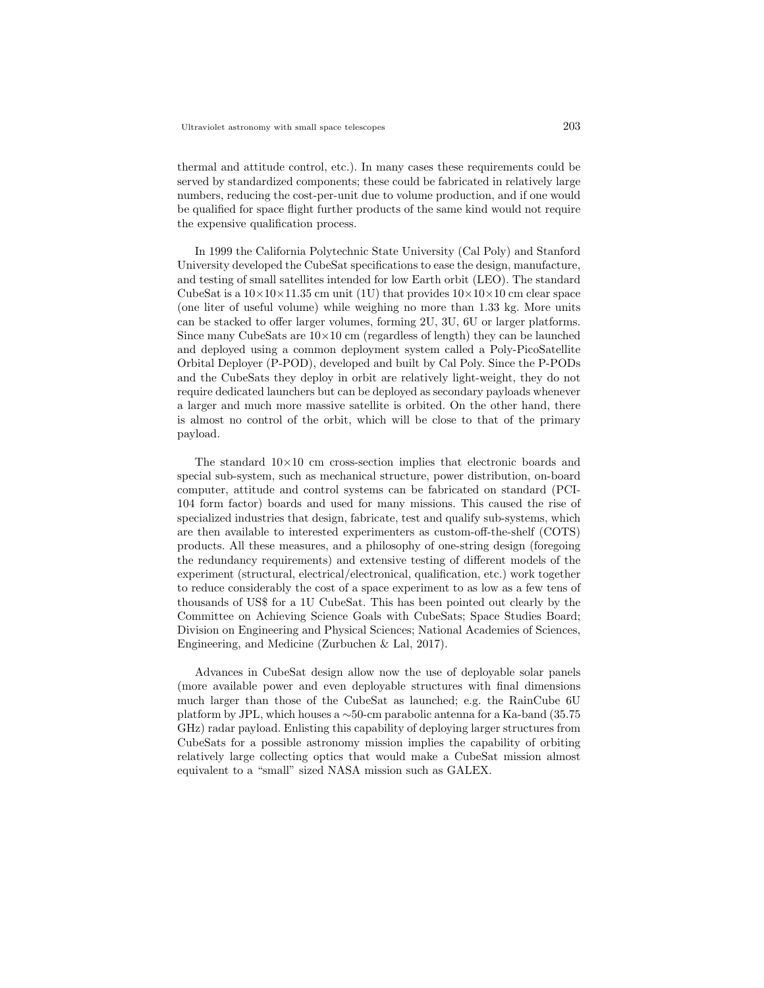thermal and attitude control, etc.). In many cases these requirements could be served by standardized components; these could be fabricated in relatively large numbers, reducing the cost-per-unit due to volume production, and if one would be qualified for space flight further products of the same kind would not require the expensive qualification process.

In 1999 the California Polytechnic State University (Cal Poly) and Stanford University developed the CubeSat specifications to ease the design, manufacture, and testing of small satellites intended for low Earth orbit (LEO). The standard CubeSat is a  $10\times10\times11.35$  cm unit (1U) that provides  $10\times10\times10$  cm clear space (one liter of useful volume) while weighing no more than 1.33 kg. More units can be stacked to offer larger volumes, forming 2U, 3U, 6U or larger platforms. Since many CubeSats are  $10\times10$  cm (regardless of length) they can be launched and deployed using a common deployment system called a Poly-PicoSatellite Orbital Deployer (P-POD), developed and built by Cal Poly. Since the P-PODs and the CubeSats they deploy in orbit are relatively light-weight, they do not require dedicated launchers but can be deployed as secondary payloads whenever a larger and much more massive satellite is orbited. On the other hand, there is almost no control of the orbit, which will be close to that of the primary payload.

The standard  $10\times10$  cm cross-section implies that electronic boards and special sub-system, such as mechanical structure, power distribution, on-board computer, attitude and control systems can be fabricated on standard (PCI-104 form factor) boards and used for many missions. This caused the rise of specialized industries that design, fabricate, test and qualify sub-systems, which are then available to interested experimenters as custom-off-the-shelf (COTS) products. All these measures, and a philosophy of one-string design (foregoing the redundancy requirements) and extensive testing of different models of the experiment (structural, electrical/electronical, qualification, etc.) work together to reduce considerably the cost of a space experiment to as low as a few tens of thousands of US\$ for a 1U CubeSat. This has been pointed out clearly by the Committee on Achieving Science Goals with CubeSats; Space Studies Board; Division on Engineering and Physical Sciences; National Academies of Sciences, Engineering, and Medicine (Zurbuchen & Lal, 2017).

Advances in CubeSat design allow now the use of deployable solar panels (more available power and even deployable structures with final dimensions much larger than those of the CubeSat as launched; e.g. the RainCube 6U platform by JPL, which houses a ∼50-cm parabolic antenna for a Ka-band (35.75 GHz) radar payload. Enlisting this capability of deploying larger structures from CubeSats for a possible astronomy mission implies the capability of orbiting relatively large collecting optics that would make a CubeSat mission almost equivalent to a "small" sized NASA mission such as GALEX.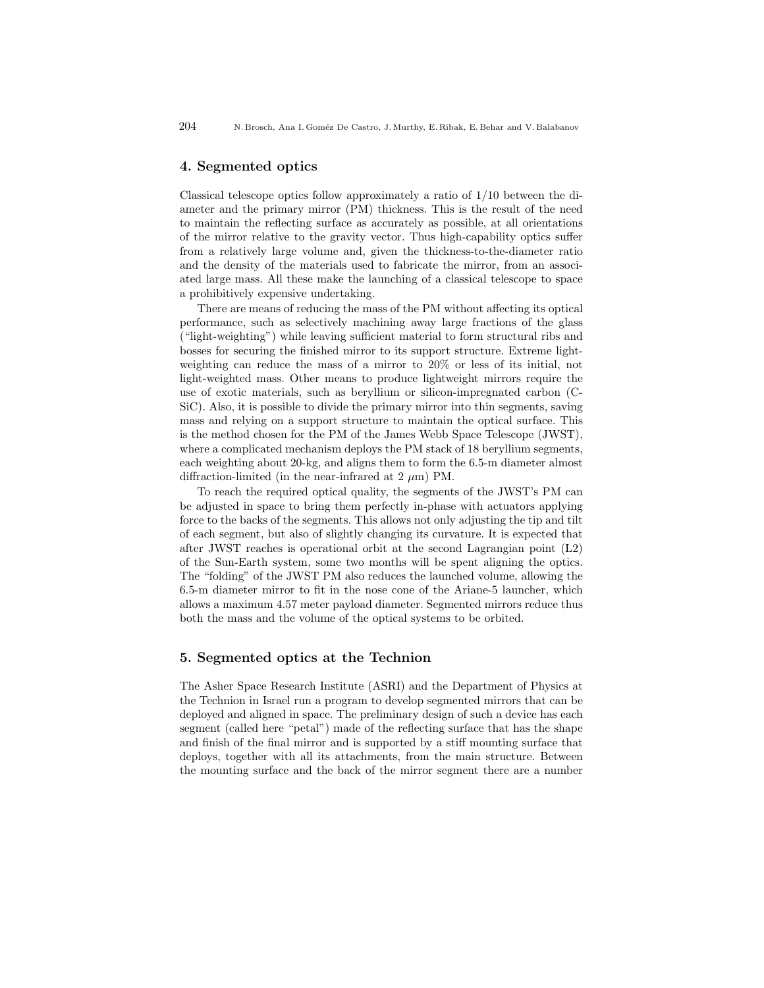### 4. Segmented optics

Classical telescope optics follow approximately a ratio of 1/10 between the diameter and the primary mirror (PM) thickness. This is the result of the need to maintain the reflecting surface as accurately as possible, at all orientations of the mirror relative to the gravity vector. Thus high-capability optics suffer from a relatively large volume and, given the thickness-to-the-diameter ratio and the density of the materials used to fabricate the mirror, from an associated large mass. All these make the launching of a classical telescope to space a prohibitively expensive undertaking.

There are means of reducing the mass of the PM without affecting its optical performance, such as selectively machining away large fractions of the glass ("light-weighting") while leaving sufficient material to form structural ribs and bosses for securing the finished mirror to its support structure. Extreme lightweighting can reduce the mass of a mirror to 20% or less of its initial, not light-weighted mass. Other means to produce lightweight mirrors require the use of exotic materials, such as beryllium or silicon-impregnated carbon (C-SiC). Also, it is possible to divide the primary mirror into thin segments, saving mass and relying on a support structure to maintain the optical surface. This is the method chosen for the PM of the James Webb Space Telescope (JWST), where a complicated mechanism deploys the PM stack of 18 beryllium segments, each weighting about 20-kg, and aligns them to form the 6.5-m diameter almost diffraction-limited (in the near-infrared at  $2 \mu m$ ) PM.

To reach the required optical quality, the segments of the JWST's PM can be adjusted in space to bring them perfectly in-phase with actuators applying force to the backs of the segments. This allows not only adjusting the tip and tilt of each segment, but also of slightly changing its curvature. It is expected that after JWST reaches is operational orbit at the second Lagrangian point (L2) of the Sun-Earth system, some two months will be spent aligning the optics. The "folding" of the JWST PM also reduces the launched volume, allowing the 6.5-m diameter mirror to fit in the nose cone of the Ariane-5 launcher, which allows a maximum 4.57 meter payload diameter. Segmented mirrors reduce thus both the mass and the volume of the optical systems to be orbited.

### 5. Segmented optics at the Technion

The Asher Space Research Institute (ASRI) and the Department of Physics at the Technion in Israel run a program to develop segmented mirrors that can be deployed and aligned in space. The preliminary design of such a device has each segment (called here "petal") made of the reflecting surface that has the shape and finish of the final mirror and is supported by a stiff mounting surface that deploys, together with all its attachments, from the main structure. Between the mounting surface and the back of the mirror segment there are a number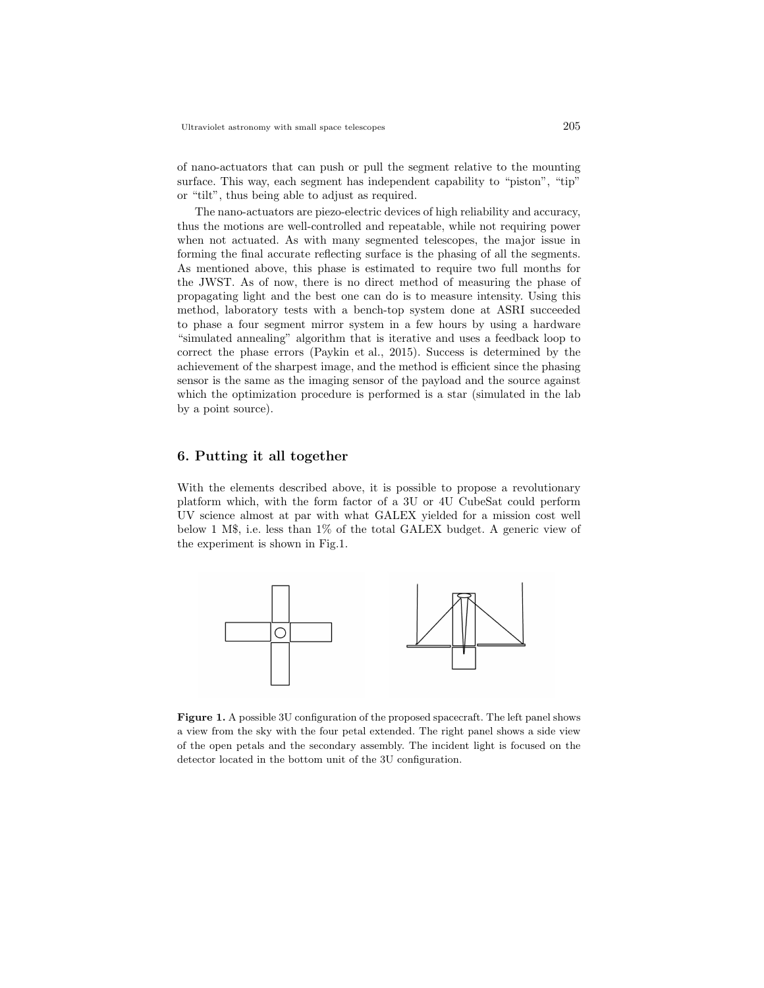of nano-actuators that can push or pull the segment relative to the mounting surface. This way, each segment has independent capability to "piston", "tip" or "tilt", thus being able to adjust as required.

The nano-actuators are piezo-electric devices of high reliability and accuracy, thus the motions are well-controlled and repeatable, while not requiring power when not actuated. As with many segmented telescopes, the major issue in forming the final accurate reflecting surface is the phasing of all the segments. As mentioned above, this phase is estimated to require two full months for the JWST. As of now, there is no direct method of measuring the phase of propagating light and the best one can do is to measure intensity. Using this method, laboratory tests with a bench-top system done at ASRI succeeded to phase a four segment mirror system in a few hours by using a hardware "simulated annealing" algorithm that is iterative and uses a feedback loop to correct the phase errors (Paykin et al., 2015). Success is determined by the achievement of the sharpest image, and the method is efficient since the phasing sensor is the same as the imaging sensor of the payload and the source against which the optimization procedure is performed is a star (simulated in the lab by a point source).

# 6. Putting it all together

With the elements described above, it is possible to propose a revolutionary platform which, with the form factor of a 3U or 4U CubeSat could perform UV science almost at par with what GALEX yielded for a mission cost well below 1 M\$, i.e. less than 1% of the total GALEX budget. A generic view of the experiment is shown in Fig.1.



Figure 1. A possible 3U configuration of the proposed spacecraft. The left panel shows a view from the sky with the four petal extended. The right panel shows a side view of the open petals and the secondary assembly. The incident light is focused on the detector located in the bottom unit of the 3U configuration.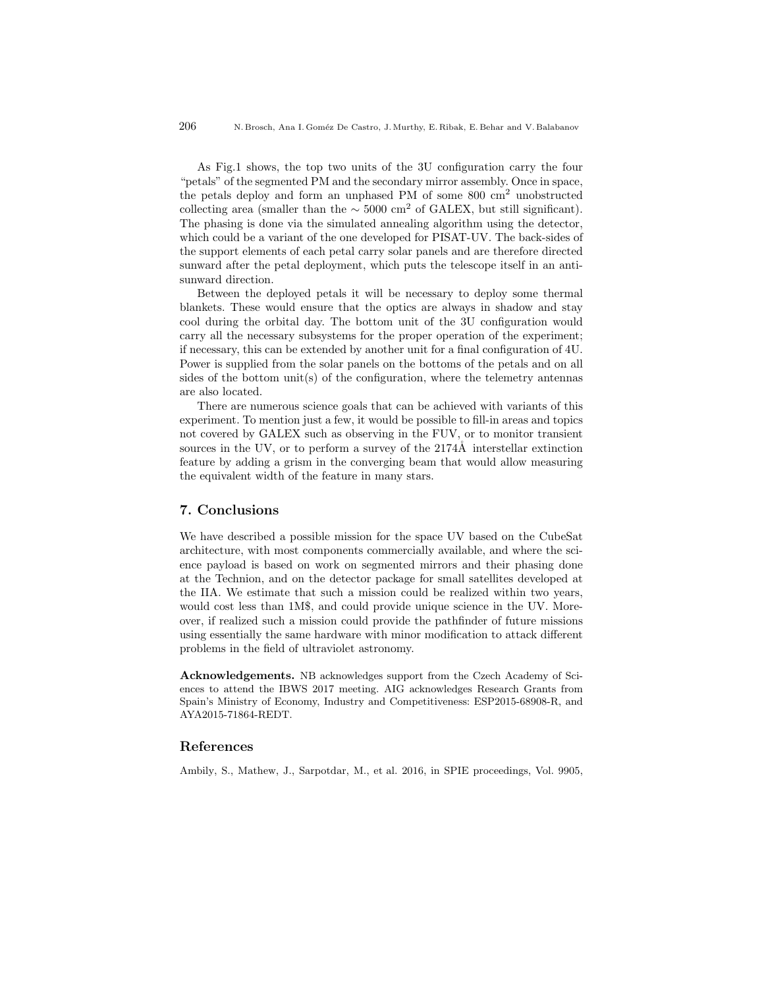As Fig.1 shows, the top two units of the 3U configuration carry the four "petals" of the segmented PM and the secondary mirror assembly. Once in space, the petals deploy and form an unphased PM of some 800 cm<sup>2</sup> unobstructed collecting area (smaller than the  $\sim$  5000 cm<sup>2</sup> of GALEX, but still significant). The phasing is done via the simulated annealing algorithm using the detector, which could be a variant of the one developed for PISAT-UV. The back-sides of the support elements of each petal carry solar panels and are therefore directed sunward after the petal deployment, which puts the telescope itself in an antisunward direction.

Between the deployed petals it will be necessary to deploy some thermal blankets. These would ensure that the optics are always in shadow and stay cool during the orbital day. The bottom unit of the 3U configuration would carry all the necessary subsystems for the proper operation of the experiment; if necessary, this can be extended by another unit for a final configuration of 4U. Power is supplied from the solar panels on the bottoms of the petals and on all sides of the bottom unit(s) of the configuration, where the telemetry antennas are also located.

There are numerous science goals that can be achieved with variants of this experiment. To mention just a few, it would be possible to fill-in areas and topics not covered by GALEX such as observing in the FUV, or to monitor transient sources in the UV, or to perform a survey of the  $2174\AA$  interstellar extinction feature by adding a grism in the converging beam that would allow measuring the equivalent width of the feature in many stars.

#### 7. Conclusions

We have described a possible mission for the space UV based on the CubeSat architecture, with most components commercially available, and where the science payload is based on work on segmented mirrors and their phasing done at the Technion, and on the detector package for small satellites developed at the IIA. We estimate that such a mission could be realized within two years, would cost less than 1M\$, and could provide unique science in the UV. Moreover, if realized such a mission could provide the pathfinder of future missions using essentially the same hardware with minor modification to attack different problems in the field of ultraviolet astronomy.

Acknowledgements. NB acknowledges support from the Czech Academy of Sciences to attend the IBWS 2017 meeting. AIG acknowledges Research Grants from Spain's Ministry of Economy, Industry and Competitiveness: ESP2015-68908-R, and AYA2015-71864-REDT.

#### References

Ambily, S., Mathew, J., Sarpotdar, M., et al. 2016, in SPIE proceedings, Vol. 9905,